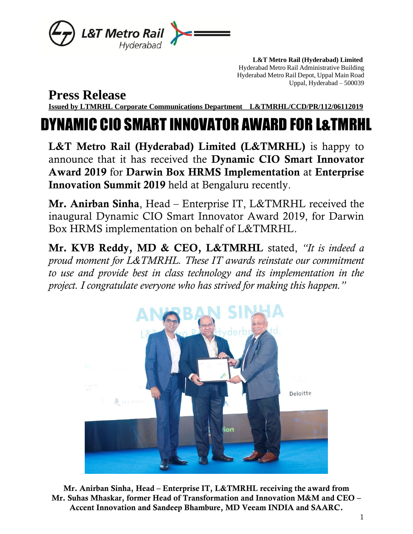

 **L&T Metro Rail (Hyderabad) Limited** Hyderabad Metro Rail Administrative Building Hyderabad Metro Rail Depot, Uppal Main Road Uppal, Hyderabad – 500039

**Press Release**

**Issued by LTMRHL Corporate Communications Department L&TMRHL/CCD/PR/112/06112019**

## DYNAMIC CIO SMART INNOVATOR AWARD FOR L&TMRHL

L&T Metro Rail (Hyderabad) Limited (L&TMRHL) is happy to announce that it has received the Dynamic CIO Smart Innovator Award 2019 for Darwin Box HRMS Implementation at Enterprise Innovation Summit 2019 held at Bengaluru recently.

Mr. Anirban Sinha, Head – Enterprise IT, L&TMRHL received the inaugural Dynamic CIO Smart Innovator Award 2019, for Darwin Box HRMS implementation on behalf of L&TMRHL.

Mr. KVB Reddy, MD & CEO, L&TMRHL stated, *"It is indeed a proud moment for L&TMRHL. These IT awards reinstate our commitment to use and provide best in class technology and its implementation in the project. I congratulate everyone who has strived for making this happen."*



Mr. Anirban Sinha, Head – Enterprise IT, L&TMRHL receiving the award from Mr. Suhas Mhaskar, former Head of Transformation and Innovation M&M and CEO – Accent Innovation and Sandeep Bhambure, MD Veeam INDIA and SAARC.